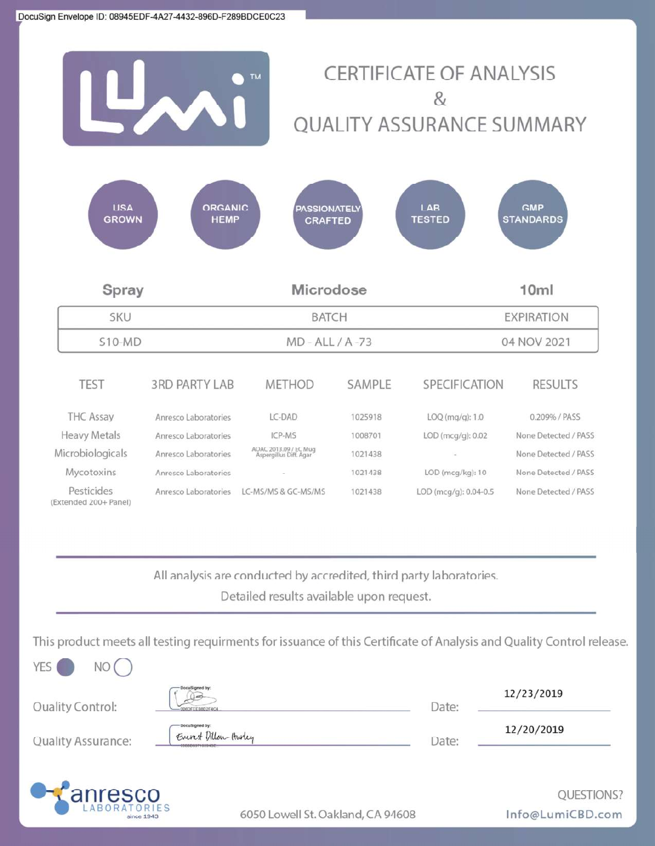since 1943



All analysis are conducted by accredited, third party laboratories.

Detailed results available upon request.

This product meets all testing requirments for issuance of this Certificate of Analysis and Quality Control release.

| YES (<br><b>NO</b>   |                                          |       |                                              |
|----------------------|------------------------------------------|-------|----------------------------------------------|
| Quality Control:     | -DocuSigned by:<br><b>INDEEERRD2F4CA</b> | Date: | 12/23/2019                                   |
| Quality Assurance:   | DocuSigned by:<br>Event Dillon-Hurley    | Date: | 12/20/2019                                   |
| <b>CANTORATORIES</b> | C                                        |       | QUESTIONS?<br>$L, L, \wedge L, \ldots$ : CDD |

6050 Lowell St. Oakland, CA 94608

Info@LumiCBD.com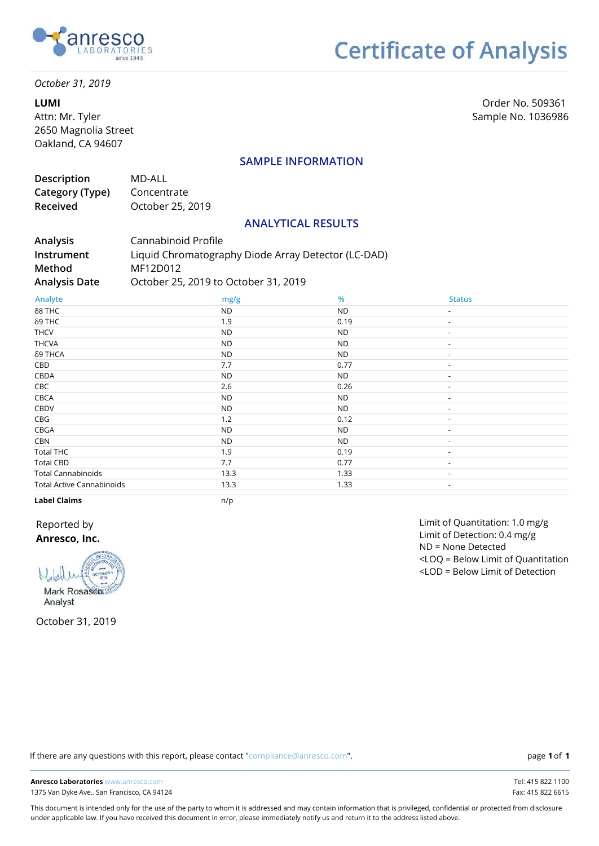

*October 31, 2019*

**LUMI** Attn: Mr. Tyler 2650 Magnolia Street Oakland, CA 94607

Order No. 509361 Sample No. 1036986

### **SAMPLE INFORMATION**

| Description     | MD-ALL           |
|-----------------|------------------|
| Category (Type) | Concentrate      |
| Received        | October 25, 2019 |

#### **ANALYTICAL RESULTS**

| Analysis             | Cannabinoid Profile                                 |
|----------------------|-----------------------------------------------------|
| Instrument           | Liquid Chromatography Diode Array Detector (LC-DAD) |
| Method               | MF12D012                                            |
| <b>Analysis Date</b> | October 25, 2019 to October 31, 2019                |

| Analyte                          | mg/g      | $\%$      | <b>Status</b>            |
|----------------------------------|-----------|-----------|--------------------------|
| $\delta$ 8 THC                   | <b>ND</b> | <b>ND</b> | $\overline{\phantom{a}}$ |
| δ9 THC                           | 1.9       | 0.19      | $\overline{\phantom{a}}$ |
| <b>THCV</b>                      | <b>ND</b> | <b>ND</b> | $\overline{\phantom{a}}$ |
| <b>THCVA</b>                     | <b>ND</b> | <b>ND</b> | $\overline{\phantom{a}}$ |
| δ9 THCA                          | <b>ND</b> | ND.       | $\overline{\phantom{a}}$ |
| CBD                              | 7.7       | 0.77      | $\overline{\phantom{a}}$ |
| CBDA                             | <b>ND</b> | ND.       | $\overline{\phantom{a}}$ |
| CBC                              | 2.6       | 0.26      | $\overline{\phantom{a}}$ |
| CBCA                             | <b>ND</b> | <b>ND</b> | $\overline{\phantom{a}}$ |
| CBDV                             | <b>ND</b> | ND.       | $\overline{\phantom{a}}$ |
| CBG                              | 1.2       | 0.12      | $\overline{\phantom{a}}$ |
| CBGA                             | <b>ND</b> | ND.       | $\overline{\phantom{a}}$ |
| CBN                              | <b>ND</b> | ND.       | $\overline{\phantom{a}}$ |
| <b>Total THC</b>                 | 1.9       | 0.19      | $\overline{\phantom{a}}$ |
| <b>Total CBD</b>                 | 7.7       | 0.77      | $\overline{\phantom{a}}$ |
| <b>Total Cannabinoids</b>        | 13.3      | 1.33      | $\overline{\phantom{a}}$ |
| <b>Total Active Cannabinoids</b> | 13.3      | 1.33      | $\overline{\phantom{a}}$ |

**Label Claims** n/p

Reported by **Anresco, Inc.**



Analyst

October 31, 2019

Limit of Quantitation: 1.0 mg/g Limit of Detection: 0.4 mg/g ND = None Detected <LOQ = Below Limit of Quantitation <LOD = Below Limit of Detection

If there are any questions with this report, please contact "compliance@anresco.com".

**Anresco Laboratories** www.anresco.com Tel: 415 822 1100 1375 Van Dyke Ave,. San Francisco, CA 94124 Fax: 415 822 6615

**1 1**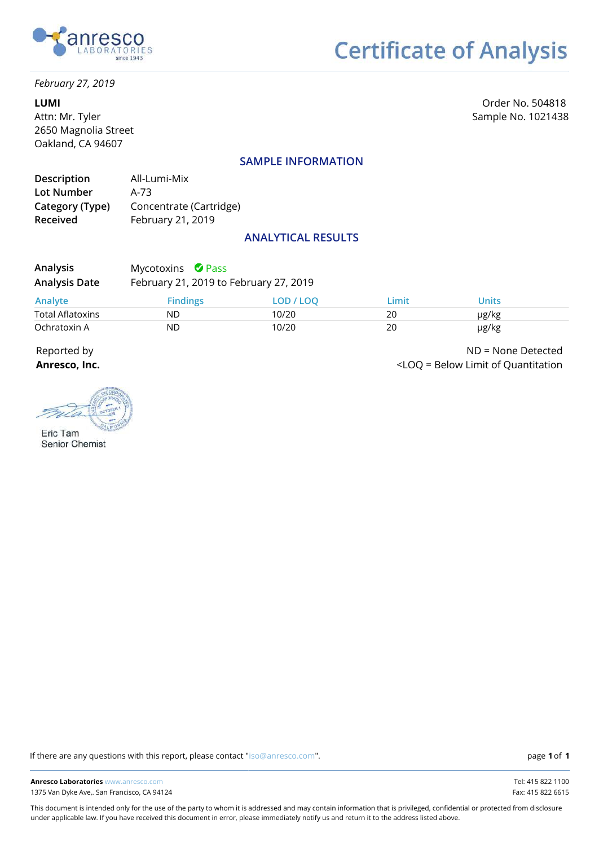

*February 27, 2019*

**LUMI** Attn: Mr. Tyler 2650 Magnolia Street Oakland, CA 94607

Order No. 504818 Sample No. 1021438

ND = None Detected

<LOQ = Below Limit of Quantitation

### **SAMPLE INFORMATION**

| All-Lumi-Mix            |
|-------------------------|
| A-73                    |
| Concentrate (Cartridge) |
| February 21, 2019       |
|                         |

### **ANALYTICAL RESULTS**

| <b>Analysis</b><br><b>Analysis Date</b> | Mycotoxins <b>O</b> Pass<br>February 21, 2019 to February 27, 2019 |           |       |              |  |
|-----------------------------------------|--------------------------------------------------------------------|-----------|-------|--------------|--|
| Analyte                                 | <b>Findings</b>                                                    | LOD / LOO | Limit | <b>Units</b> |  |
| Total Aflatoxins                        | ND.                                                                | 10/20     | 20    | µg/kg        |  |
| Ochratoxin A                            | ND                                                                 | 10/20     | 20    | µg/kg        |  |

Reported by **Anresco, Inc.**



**Senior Chemist** 

If there are any questions with this report, please contact "iso@anresco.com".

**1 1**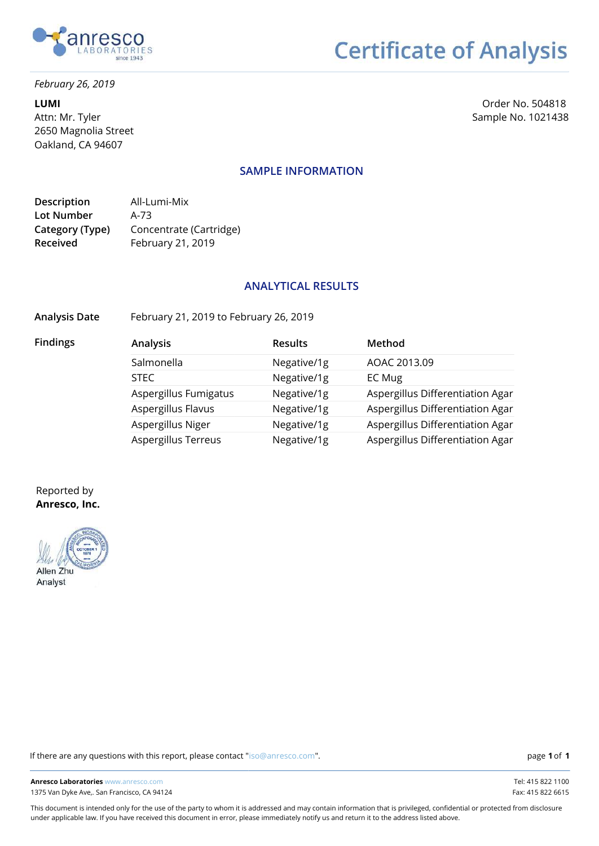

*February 26, 2019*

**LUMI** Attn: Mr. Tyler 2650 Magnolia Street Oakland, CA 94607

**Certificate of Analysis** 

Order No. 504818 Sample No. 1021438

### **SAMPLE INFORMATION**

| Description     | All-Lumi-Mix            |
|-----------------|-------------------------|
| Lot Number      | A-73                    |
| Category (Type) | Concentrate (Cartridge) |
| Received        | February 21, 2019       |

#### **ANALYTICAL RESULTS**

**Analysis Date** February 21, 2019 to February 26, 2019

| Analysis              | <b>Results</b> | Method                           |
|-----------------------|----------------|----------------------------------|
| Salmonella            | Negative/1g    | AOAC 2013.09                     |
| STEC.                 | Negative/1g    | EC Mug                           |
| Aspergillus Fumigatus | Negative/1g    | Aspergillus Differentiation Agar |
| Aspergillus Flavus    | Negative/1g    | Aspergillus Differentiation Agar |
| Aspergillus Niger     | Negative/1g    | Aspergillus Differentiation Agar |
| Aspergillus Terreus   | Negative/1g    | Aspergillus Differentiation Agar |

#### Reported by **Anresco, Inc.**

**Findings**



If there are any questions with this report, please contact "iso@anresco.com".

**1 1**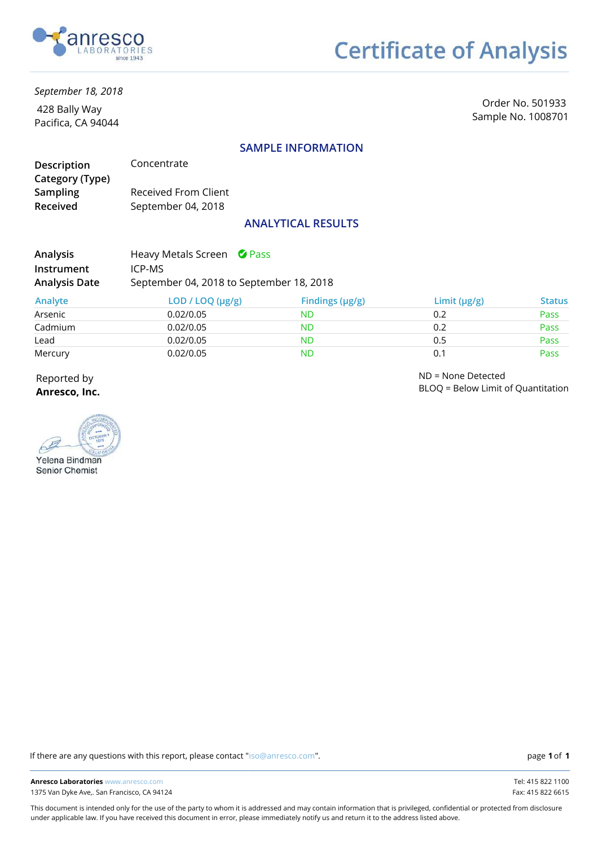

*September 18, 2018*

 428 Bally Way Pacifica, CA 94044

Order No. 501933 Sample No. 1008701

#### **SAMPLE INFORMATION**

| Description     | Concentrate                 |
|-----------------|-----------------------------|
| Category (Type) |                             |
| <b>Sampling</b> | <b>Received From Client</b> |
| Received        | September 04, 2018          |

### **ANALYTICAL RESULTS**

| <b>Analysis</b>   | Heavy Metals Screen <b>C</b> Pass        |  |
|-------------------|------------------------------------------|--|
| <b>Instrument</b> | ICP-MS                                   |  |
| Analysis Date     | September 04, 2018 to September 18, 2018 |  |

| Analyte | LOD / LOQ (µg/g) | Findings $(\mu g/g)$ | Limit $(\mu g/g)$ | <b>Status</b> |
|---------|------------------|----------------------|-------------------|---------------|
| Arsenic | 0.02/0.05        | ND                   | 0.2               | Pass          |
| Cadmium | 0.02/0.05        | ND                   | 0.2               | Pass          |
| Lead    | 0.02/0.05        | ND                   | 0.5               | Pass          |
| Mercury | 0.02/0.05        | ND                   | 0.1               | Pass          |

Reported by **Anresco, Inc.**

Yelena Bindman **Senior Chemist** 

ND = None Detected BLOQ = Below Limit of Quantitation

If there are any questions with this report, please contact "iso@anresco.com".

**Anresco Laboratories** www.anresco.com Tel: 415 822 1100 1375 Van Dyke Ave,. San Francisco, CA 94124 Fax: 415 822 6615

**1 1**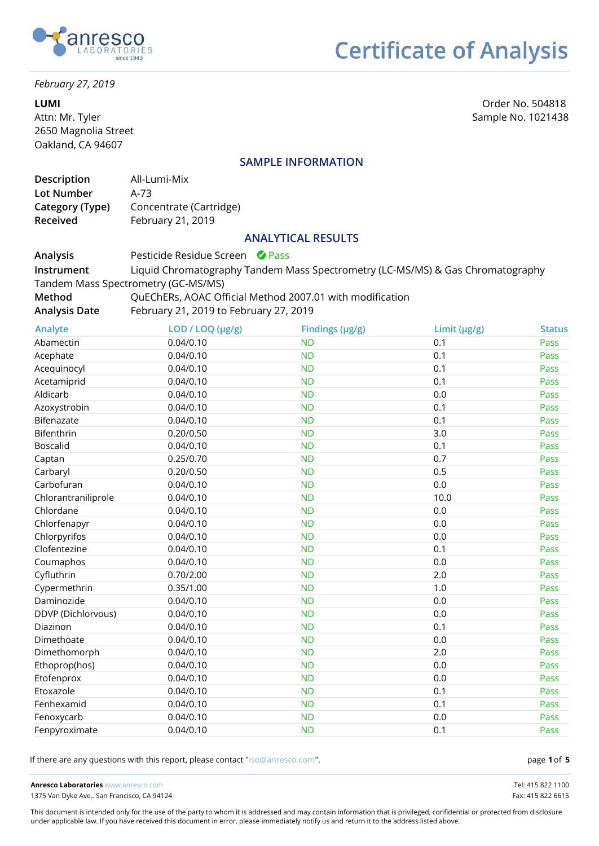

*February 27, 2019*

**LUMI** Attn: Mr. Tyler 2650 Magnolia Street Oakland, CA 94607

Order No. 504818 Sample No. 1021438

### **SAMPLE INFORMATION**

| <b>Description</b>          | All-Lumi-Mix                                 |
|-----------------------------|----------------------------------------------|
| Lot Number                  | $A-73$                                       |
| Category (Type)<br>Received | Concentrate (Cartridge)<br>February 21, 2019 |
|                             |                                              |

### **ANALYTICAL RESULTS**

**Analysis Instrument Method Analysis Date** Pesticide Residue Screen <sup>O</sup> Pass Liquid Chromatography Tandem Mass Spectrometry (LC-MS/MS) & Gas Chromatography Tandem Mass Spectrometry (GC-MS/MS) QuEChERs, AOAC Official Method 2007.01 with modification February 21, 2019 to February 27, 2019

| Analyte             | LOD / LOQ (µg/g) | Findings (µg/g) | Limit (µg/g) | <b>Status</b> |
|---------------------|------------------|-----------------|--------------|---------------|
| Abamectin           | 0.04/0.10        | <b>ND</b>       | 0.1          | Pass          |
| Acephate            | 0.04/0.10        | <b>ND</b>       | 0.1          | Pass          |
| Acequinocyl         | 0.04/0.10        | <b>ND</b>       | 0.1          | Pass          |
| Acetamiprid         | 0.04/0.10        | <b>ND</b>       | 0.1          | Pass          |
| Aldicarb            | 0.04/0.10        | <b>ND</b>       | 0.0          | Pass          |
| Azoxystrobin        | 0.04/0.10        | <b>ND</b>       | 0.1          | Pass          |
| Bifenazate          | 0.04/0.10        | <b>ND</b>       | 0.1          | Pass          |
| Bifenthrin          | 0.20/0.50        | <b>ND</b>       | 3.0          | Pass          |
| <b>Boscalid</b>     | 0.04/0.10        | <b>ND</b>       | 0.1          | Pass          |
| Captan              | 0.25/0.70        | <b>ND</b>       | 0.7          | Pass          |
| Carbaryl            | 0.20/0.50        | <b>ND</b>       | 0.5          | Pass          |
| Carbofuran          | 0.04/0.10        | <b>ND</b>       | 0.0          | Pass          |
| Chlorantraniliprole | 0.04/0.10        | <b>ND</b>       | 10.0         | Pass          |
| Chlordane           | 0.04/0.10        | <b>ND</b>       | 0.0          | Pass          |
| Chlorfenapyr        | 0.04/0.10        | <b>ND</b>       | 0.0          | Pass          |
| Chlorpyrifos        | 0.04/0.10        | <b>ND</b>       | 0.0          | Pass          |
| Clofentezine        | 0.04/0.10        | <b>ND</b>       | 0.1          | Pass          |
| Coumaphos           | 0.04/0.10        | <b>ND</b>       | 0.0          | Pass          |
| Cyfluthrin          | 0.70/2.00        | <b>ND</b>       | 2.0          | Pass          |
| Cypermethrin        | 0.35/1.00        | <b>ND</b>       | 1.0          | Pass          |
| Daminozide          | 0.04/0.10        | <b>ND</b>       | 0.0          | Pass          |
| DDVP (Dichlorvous)  | 0.04/0.10        | <b>ND</b>       | 0.0          | Pass          |
| Diazinon            | 0.04/0.10        | <b>ND</b>       | 0.1          | Pass          |
| Dimethoate          | 0.04/0.10        | <b>ND</b>       | 0.0          | Pass          |
| Dimethomorph        | 0.04/0.10        | <b>ND</b>       | 2.0          | Pass          |
| Ethoprop(hos)       | 0.04/0.10        | <b>ND</b>       | 0.0          | Pass          |
| Etofenprox          | 0.04/0.10        | <b>ND</b>       | 0.0          | Pass          |
| Etoxazole           | 0.04/0.10        | <b>ND</b>       | 0.1          | Pass          |
| Fenhexamid          | 0.04/0.10        | <b>ND</b>       | 0.1          | Pass          |
| Fenoxycarb          | 0.04/0.10        | <b>ND</b>       | 0.0          | Pass          |
| Fenpyroximate       | 0.04/0.10        | <b>ND</b>       | 0.1          | Pass          |

If there are any questions with this report, please contact "iso@anresco.com".

**1 5**

**Anresco Laboratories** www.anresco.com Tel: 415 822 1100 1375 Van Dyke Ave,. San Francisco, CA 94124 Fax: 415 822 6615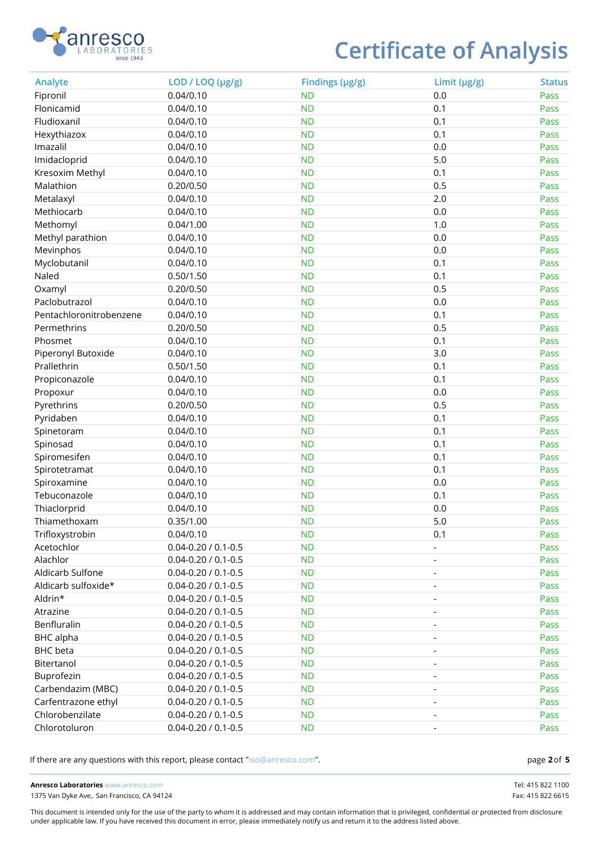

| Analyte                 | LOD / LOQ (µg/g)          | Findings (µg/g) | Limit (µg/g)             | <b>Status</b> |
|-------------------------|---------------------------|-----------------|--------------------------|---------------|
| Fipronil                | 0.04/0.10                 | <b>ND</b>       | 0.0                      | Pass          |
| Flonicamid              | 0.04/0.10                 | <b>ND</b>       | 0.1                      | Pass          |
| Fludioxanil             | 0.04/0.10                 | <b>ND</b>       | 0.1                      | Pass          |
| Hexythiazox             | 0.04/0.10                 | <b>ND</b>       | 0.1                      | Pass          |
| Imazalil                | 0.04/0.10                 | <b>ND</b>       | 0.0                      | Pass          |
| Imidacloprid            | 0.04/0.10                 | <b>ND</b>       | 5.0                      | Pass          |
| Kresoxim Methyl         | 0.04/0.10                 | <b>ND</b>       | 0.1                      | Pass          |
| Malathion               | 0.20/0.50                 | <b>ND</b>       | 0.5                      | Pass          |
| Metalaxyl               | 0.04/0.10                 | <b>ND</b>       | 2.0                      | Pass          |
| Methiocarb              | 0.04/0.10                 | <b>ND</b>       | 0.0                      | Pass          |
| Methomyl                | 0.04/1.00                 | <b>ND</b>       | 1.0                      | Pass          |
| Methyl parathion        | 0.04/0.10                 | <b>ND</b>       | 0.0                      | Pass          |
| Mevinphos               | 0.04/0.10                 | <b>ND</b>       | 0.0                      | Pass          |
| Myclobutanil            | 0.04/0.10                 | <b>ND</b>       | 0.1                      | Pass          |
| Naled                   | 0.50/1.50                 | <b>ND</b>       | 0.1                      | Pass          |
| Oxamyl                  | 0.20/0.50                 | <b>ND</b>       | 0.5                      | Pass          |
| Paclobutrazol           | 0.04/0.10                 | <b>ND</b>       | 0.0                      | Pass          |
| Pentachloronitrobenzene | 0.04/0.10                 | <b>ND</b>       | 0.1                      | Pass          |
| Permethrins             | 0.20/0.50                 | <b>ND</b>       | 0.5                      | Pass          |
| Phosmet                 | 0.04/0.10                 | <b>ND</b>       | 0.1                      | Pass          |
| Piperonyl Butoxide      | 0.04/0.10                 | <b>ND</b>       | 3.0                      | Pass          |
| Prallethrin             | 0.50/1.50                 | <b>ND</b>       | 0.1                      | Pass          |
| Propiconazole           | 0.04/0.10                 | <b>ND</b>       | 0.1                      | Pass          |
| Propoxur                | 0.04/0.10                 | <b>ND</b>       | 0.0                      | Pass          |
| Pyrethrins              | 0.20/0.50                 | <b>ND</b>       | 0.5                      | Pass          |
| Pyridaben               | 0.04/0.10                 | <b>ND</b>       | 0.1                      | Pass          |
|                         | 0.04/0.10                 | <b>ND</b>       | 0.1                      | Pass          |
| Spinetoram<br>Spinosad  | 0.04/0.10                 | <b>ND</b>       | 0.1                      | Pass          |
| Spiromesifen            | 0.04/0.10                 | <b>ND</b>       | 0.1                      | Pass          |
|                         | 0.04/0.10                 | <b>ND</b>       | 0.1                      | Pass          |
| Spirotetramat           |                           |                 |                          |               |
| Spiroxamine             | 0.04/0.10                 | <b>ND</b>       | 0.0                      | Pass          |
| Tebuconazole            | 0.04/0.10                 | <b>ND</b>       | 0.1                      | Pass          |
| Thiaclorprid            | 0.04/0.10                 | <b>ND</b>       | 0.0                      | Pass          |
| Thiamethoxam            | 0.35/1.00                 | <b>ND</b>       | 5.0                      | Pass          |
| Trifloxystrobin         | 0.04/0.10                 | <b>ND</b>       | 0.1                      | Pass          |
| Acetochlor              | $0.04 - 0.20 / 0.1 - 0.5$ | <b>ND</b>       | $\overline{\phantom{0}}$ | Pass          |
| Alachlor                | $0.04 - 0.20 / 0.1 - 0.5$ | <b>ND</b>       | -                        | Pass          |
| Aldicarb Sulfone        | $0.04 - 0.20 / 0.1 - 0.5$ | <b>ND</b>       | $\overline{\phantom{a}}$ | Pass          |
| Aldicarb sulfoxide*     | $0.04 - 0.20 / 0.1 - 0.5$ | <b>ND</b>       | $\overline{\phantom{0}}$ | Pass          |
| Aldrin*                 | $0.04 - 0.20 / 0.1 - 0.5$ | <b>ND</b>       | $\overline{\phantom{0}}$ | Pass          |
| Atrazine                | $0.04 - 0.20 / 0.1 - 0.5$ | <b>ND</b>       | -                        | Pass          |
| Benfluralin             | $0.04 - 0.20 / 0.1 - 0.5$ | <b>ND</b>       | $\overline{\phantom{a}}$ | Pass          |
| BHC alpha               | $0.04 - 0.20 / 0.1 - 0.5$ | <b>ND</b>       | $\overline{\phantom{0}}$ | Pass          |
| <b>BHC</b> beta         | $0.04 - 0.20 / 0.1 - 0.5$ | <b>ND</b>       | $\overline{\phantom{0}}$ | Pass          |
| Bitertanol              | $0.04 - 0.20 / 0.1 - 0.5$ | <b>ND</b>       | -                        | Pass          |
| Buprofezin              | $0.04 - 0.20 / 0.1 - 0.5$ | <b>ND</b>       | $\overline{a}$           | Pass          |
| Carbendazim (MBC)       | $0.04 - 0.20 / 0.1 - 0.5$ | <b>ND</b>       | $\overline{\phantom{0}}$ | Pass          |
| Carfentrazone ethyl     | $0.04 - 0.20 / 0.1 - 0.5$ | <b>ND</b>       | $\overline{\phantom{0}}$ | Pass          |
| Chlorobenzilate         | $0.04 - 0.20 / 0.1 - 0.5$ | <b>ND</b>       | $\overline{\phantom{a}}$ | Pass          |
| Chlorotoluron           | $0.04 - 0.20 / 0.1 - 0.5$ | <b>ND</b>       | $\overline{a}$           | Pass          |

If there are any questions with this report, please contact "iso@anresco.com".

**Anresco Laboratories** www.anresco.com Tel: 415 822 1100 1375 Van Dyke Ave,. San Francisco, CA 94124 Fax: 415 822 6615

**2 5**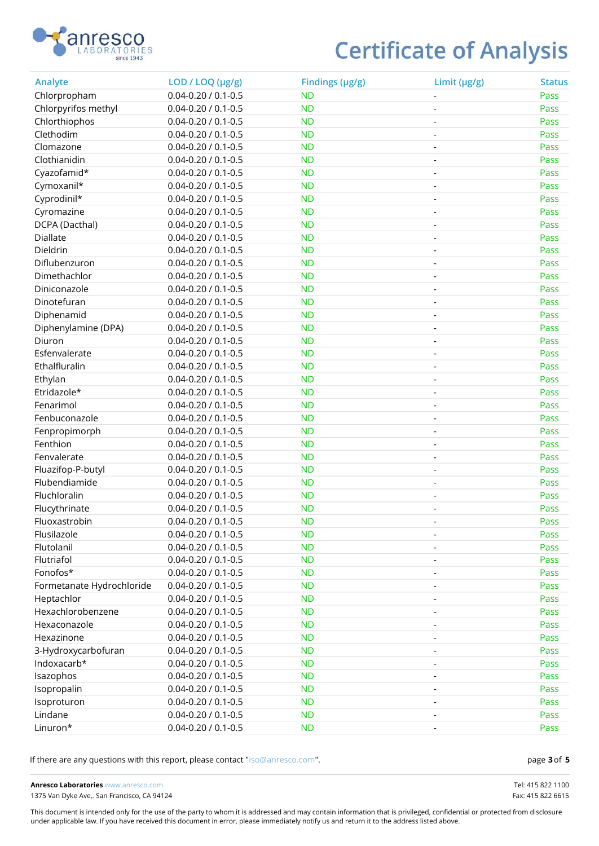

| Analyte                   | LOD / LOQ $(\mu g/g)$     | Findings (µg/g) | Limit $(\mu g/g)$            | <b>Status</b> |
|---------------------------|---------------------------|-----------------|------------------------------|---------------|
| Chlorpropham              | $0.04 - 0.20 / 0.1 - 0.5$ | <b>ND</b>       |                              | Pass          |
| Chlorpyrifos methyl       | $0.04 - 0.20 / 0.1 - 0.5$ | <b>ND</b>       | $\overline{\phantom{a}}$     | Pass          |
| Chlorthiophos             | $0.04 - 0.20 / 0.1 - 0.5$ | <b>ND</b>       | $\overline{\phantom{a}}$     | Pass          |
| Clethodim                 | $0.04 - 0.20 / 0.1 - 0.5$ | <b>ND</b>       |                              | Pass          |
| Clomazone                 | $0.04 - 0.20 / 0.1 - 0.5$ | <b>ND</b>       | $\overline{\phantom{0}}$     | Pass          |
| Clothianidin              | $0.04 - 0.20 / 0.1 - 0.5$ | <b>ND</b>       | $\overline{\phantom{a}}$     | Pass          |
| Cyazofamid*               | $0.04 - 0.20 / 0.1 - 0.5$ | <b>ND</b>       | $\overline{\phantom{a}}$     | Pass          |
| Cymoxanil*                | $0.04 - 0.20 / 0.1 - 0.5$ | <b>ND</b>       | $\frac{1}{2}$                | Pass          |
| Cyprodinil*               | $0.04 - 0.20 / 0.1 - 0.5$ | <b>ND</b>       | $\overline{\phantom{0}}$     | Pass          |
| Cyromazine                | $0.04 - 0.20 / 0.1 - 0.5$ | <b>ND</b>       | $\overline{\phantom{a}}$     | Pass          |
| DCPA (Dacthal)            | $0.04 - 0.20 / 0.1 - 0.5$ | <b>ND</b>       |                              | Pass          |
| Diallate                  | $0.04 - 0.20 / 0.1 - 0.5$ | <b>ND</b>       | $\overline{\phantom{a}}$     | Pass          |
| Dieldrin                  | $0.04 - 0.20 / 0.1 - 0.5$ | <b>ND</b>       | $\overline{\phantom{a}}$     | Pass          |
| Diflubenzuron             | $0.04 - 0.20 / 0.1 - 0.5$ | <b>ND</b>       | $\blacksquare$               | Pass          |
| Dimethachlor              | $0.04 - 0.20 / 0.1 - 0.5$ | <b>ND</b>       |                              | Pass          |
| Diniconazole              | $0.04 - 0.20 / 0.1 - 0.5$ | <b>ND</b>       | $\overline{\phantom{0}}$     | Pass          |
| Dinotefuran               | $0.04 - 0.20 / 0.1 - 0.5$ | <b>ND</b>       | $\overline{\phantom{a}}$     | Pass          |
| Diphenamid                | $0.04 - 0.20 / 0.1 - 0.5$ | <b>ND</b>       |                              | Pass          |
| Diphenylamine (DPA)       | $0.04 - 0.20 / 0.1 - 0.5$ | <b>ND</b>       | $\overline{\phantom{a}}$     | Pass          |
| Diuron                    | $0.04 - 0.20 / 0.1 - 0.5$ | <b>ND</b>       | $\overline{\phantom{0}}$     | Pass          |
| Esfenvalerate             | $0.04 - 0.20 / 0.1 - 0.5$ | <b>ND</b>       | $\overline{\phantom{a}}$     | Pass          |
| Ethalfluralin             | $0.04 - 0.20 / 0.1 - 0.5$ | <b>ND</b>       | $\overline{\phantom{a}}$     | Pass          |
| Ethylan                   | $0.04 - 0.20 / 0.1 - 0.5$ | <b>ND</b>       | $\overline{\phantom{a}}$     | Pass          |
| Etridazole*               | $0.04 - 0.20 / 0.1 - 0.5$ | <b>ND</b>       | $\overline{\phantom{a}}$     | Pass          |
| Fenarimol                 | $0.04 - 0.20 / 0.1 - 0.5$ | <b>ND</b>       | $\overline{\phantom{a}}$     | Pass          |
| Fenbuconazole             | $0.04 - 0.20 / 0.1 - 0.5$ | <b>ND</b>       | $\overline{a}$               | Pass          |
| Fenpropimorph             | $0.04 - 0.20 / 0.1 - 0.5$ | <b>ND</b>       | $\overline{\phantom{0}}$     | Pass          |
| Fenthion                  | $0.04 - 0.20 / 0.1 - 0.5$ | <b>ND</b>       | $\overline{\phantom{a}}$     | Pass          |
| Fenvalerate               | $0.04 - 0.20 / 0.1 - 0.5$ | <b>ND</b>       | $\overline{\phantom{a}}$     | Pass          |
| Fluazifop-P-butyl         | $0.04 - 0.20 / 0.1 - 0.5$ | <b>ND</b>       | $\overline{\phantom{a}}$     | Pass          |
| Flubendiamide             | $0.04 - 0.20 / 0.1 - 0.5$ | <b>ND</b>       | $\overline{\phantom{a}}$     | Pass          |
| Fluchloralin              | $0.04 - 0.20 / 0.1 - 0.5$ | <b>ND</b>       |                              | Pass          |
| Flucythrinate             | $0.04 - 0.20 / 0.1 - 0.5$ | <b>ND</b>       |                              | Pass          |
| Fluoxastrobin             | $0.04 - 0.20 / 0.1 - 0.5$ | <b>ND</b>       |                              | Pass          |
| Flusilazole               | $0.04 - 0.20 / 0.1 - 0.5$ | <b>ND</b>       | $\overline{\phantom{a}}$     | Pass          |
| Flutolanil                | $0.04 - 0.20 / 0.1 - 0.5$ | <b>ND</b>       | $\overline{\phantom{a}}$     | Pass          |
| Flutriafol                | $0.04 - 0.20 / 0.1 - 0.5$ | <b>ND</b>       | $\overline{\phantom{a}}$     | Pass          |
| Fonofos*                  | $0.04 - 0.20 / 0.1 - 0.5$ | <b>ND</b>       | $\qquad \qquad \blacksquare$ | Pass          |
| Formetanate Hydrochloride | $0.04 - 0.20 / 0.1 - 0.5$ | <b>ND</b>       |                              | Pass          |
| Heptachlor                | $0.04 - 0.20 / 0.1 - 0.5$ | <b>ND</b>       |                              | Pass          |
| Hexachlorobenzene         | $0.04 - 0.20 / 0.1 - 0.5$ | <b>ND</b>       | $\overline{\phantom{a}}$     | Pass          |
| Hexaconazole              | $0.04 - 0.20 / 0.1 - 0.5$ | <b>ND</b>       | $\overline{\phantom{a}}$     | Pass          |
| Hexazinone                | $0.04 - 0.20 / 0.1 - 0.5$ | <b>ND</b>       | $\overline{\phantom{a}}$     | Pass          |
| 3-Hydroxycarbofuran       | $0.04 - 0.20 / 0.1 - 0.5$ | <b>ND</b>       | $\overline{\phantom{a}}$     | Pass          |
| Indoxacarb*               | $0.04 - 0.20 / 0.1 - 0.5$ | <b>ND</b>       | $\qquad \qquad \blacksquare$ | Pass          |
| Isazophos                 | $0.04 - 0.20 / 0.1 - 0.5$ | <b>ND</b>       | $\overline{\phantom{a}}$     | Pass          |
| Isopropalin               | $0.04 - 0.20 / 0.1 - 0.5$ | <b>ND</b>       |                              | Pass          |
| Isoproturon               | $0.04 - 0.20 / 0.1 - 0.5$ | <b>ND</b>       |                              | Pass          |
| Lindane                   | $0.04 - 0.20 / 0.1 - 0.5$ | <b>ND</b>       | $\qquad \qquad \blacksquare$ | Pass          |
| Linuron*                  | $0.04 - 0.20 / 0.1 - 0.5$ | <b>ND</b>       | $\overline{\phantom{a}}$     | Pass          |
|                           |                           |                 |                              |               |

If there are any questions with this report, please contact "iso@anresco.com".

**Anresco Laboratories** www.anresco.com Tel: 415 822 1100 1375 Van Dyke Ave,. San Francisco, CA 94124 Fax: 415 822 6615

**3 5**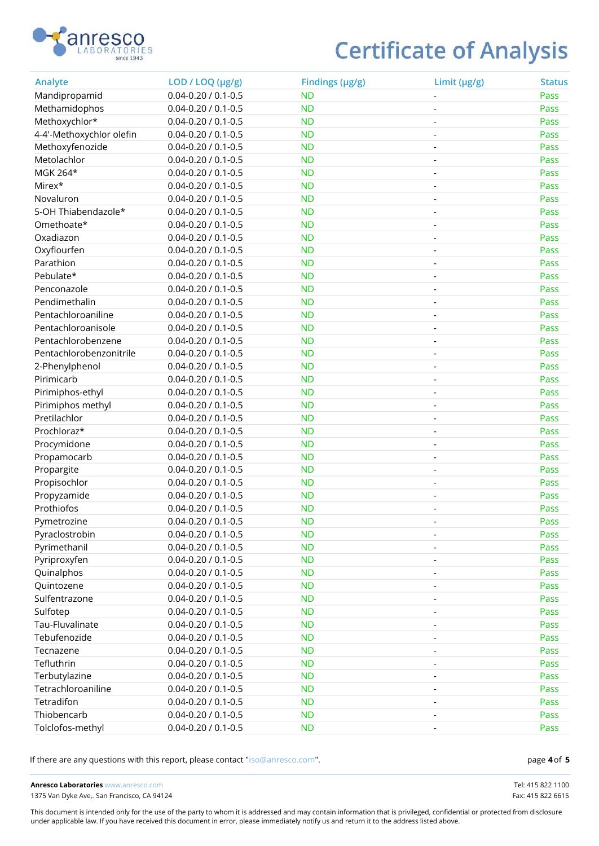

| Analyte                  | LOD / LOQ (µg/g)          | Findings (µg/g) | Limit (µg/g)             | <b>Status</b> |
|--------------------------|---------------------------|-----------------|--------------------------|---------------|
| Mandipropamid            | $0.04 - 0.20 / 0.1 - 0.5$ | <b>ND</b>       |                          | Pass          |
| Methamidophos            | $0.04 - 0.20 / 0.1 - 0.5$ | <b>ND</b>       | $\overline{\phantom{0}}$ | Pass          |
| Methoxychlor*            | $0.04 - 0.20 / 0.1 - 0.5$ | <b>ND</b>       | $\overline{\phantom{0}}$ | Pass          |
| 4-4'-Methoxychlor olefin | $0.04 - 0.20 / 0.1 - 0.5$ | <b>ND</b>       | -                        | Pass          |
| Methoxyfenozide          | $0.04 - 0.20 / 0.1 - 0.5$ | <b>ND</b>       | $\overline{\phantom{0}}$ | Pass          |
| Metolachlor              | $0.04 - 0.20 / 0.1 - 0.5$ | <b>ND</b>       | $\overline{\phantom{0}}$ | Pass          |
| MGK 264*                 | $0.04 - 0.20 / 0.1 - 0.5$ | <b>ND</b>       | $\overline{\phantom{0}}$ | Pass          |
| Mirex*                   | $0.04 - 0.20 / 0.1 - 0.5$ | <b>ND</b>       | $\overline{\phantom{a}}$ | Pass          |
| Novaluron                | $0.04 - 0.20 / 0.1 - 0.5$ | <b>ND</b>       | $\overline{\phantom{0}}$ | Pass          |
| 5-OH Thiabendazole*      | $0.04 - 0.20 / 0.1 - 0.5$ | <b>ND</b>       | $\overline{\phantom{0}}$ | Pass          |
| Omethoate*               | $0.04 - 0.20 / 0.1 - 0.5$ | <b>ND</b>       | $\overline{\phantom{a}}$ | Pass          |
| Oxadiazon                | $0.04 - 0.20 / 0.1 - 0.5$ | <b>ND</b>       | $\overline{\phantom{a}}$ | Pass          |
| Oxyflourfen              | $0.04 - 0.20 / 0.1 - 0.5$ | <b>ND</b>       | $\overline{\phantom{0}}$ | Pass          |
| Parathion                | $0.04 - 0.20 / 0.1 - 0.5$ | <b>ND</b>       | $\overline{\phantom{0}}$ | Pass          |
| Pebulate*                | $0.04 - 0.20 / 0.1 - 0.5$ | <b>ND</b>       | $\overline{\phantom{0}}$ | Pass          |
| Penconazole              | $0.04 - 0.20 / 0.1 - 0.5$ | <b>ND</b>       | $\overline{\phantom{0}}$ | Pass          |
| Pendimethalin            | $0.04 - 0.20 / 0.1 - 0.5$ | <b>ND</b>       |                          | Pass          |
| Pentachloroaniline       | $0.04 - 0.20 / 0.1 - 0.5$ | <b>ND</b>       | -                        | Pass          |
| Pentachloroanisole       | $0.04 - 0.20 / 0.1 - 0.5$ | <b>ND</b>       | $\overline{\phantom{a}}$ | Pass          |
| Pentachlorobenzene       | $0.04 - 0.20 / 0.1 - 0.5$ | <b>ND</b>       | $\overline{\phantom{0}}$ | Pass          |
| Pentachlorobenzonitrile  | $0.04 - 0.20 / 0.1 - 0.5$ | <b>ND</b>       | $\overline{\phantom{a}}$ | Pass          |
| 2-Phenylphenol           | $0.04 - 0.20 / 0.1 - 0.5$ | <b>ND</b>       | $\overline{\phantom{a}}$ | Pass          |
| Pirimicarb               | $0.04 - 0.20 / 0.1 - 0.5$ | <b>ND</b>       | $\overline{\phantom{a}}$ | Pass          |
| Pirimiphos-ethyl         | $0.04 - 0.20 / 0.1 - 0.5$ | <b>ND</b>       | $\overline{\phantom{0}}$ | Pass          |
| Pirimiphos methyl        | $0.04 - 0.20 / 0.1 - 0.5$ | <b>ND</b>       | $\overline{\phantom{0}}$ | Pass          |
| Pretilachlor             | $0.04 - 0.20 / 0.1 - 0.5$ | <b>ND</b>       | $\overline{\phantom{a}}$ | Pass          |
| Prochloraz*              | $0.04 - 0.20 / 0.1 - 0.5$ | <b>ND</b>       | $\overline{\phantom{0}}$ | Pass          |
| Procymidone              | $0.04 - 0.20 / 0.1 - 0.5$ | <b>ND</b>       | $\overline{\phantom{0}}$ | Pass          |
| Propamocarb              | $0.04 - 0.20 / 0.1 - 0.5$ | <b>ND</b>       | $\overline{\phantom{a}}$ | Pass          |
| Propargite               | $0.04 - 0.20 / 0.1 - 0.5$ | <b>ND</b>       | $\overline{\phantom{a}}$ | Pass          |
| Propisochlor             | $0.04 - 0.20 / 0.1 - 0.5$ | <b>ND</b>       | $\overline{\phantom{0}}$ | Pass          |
| Propyzamide              | $0.04 - 0.20 / 0.1 - 0.5$ | <b>ND</b>       |                          | Pass          |
| Prothiofos               | $0.04 - 0.20 / 0.1 - 0.5$ | <b>ND</b>       |                          | Pass          |
| Pymetrozine              | $0.04 - 0.20 / 0.1 - 0.5$ | <b>ND</b>       |                          | Pass          |
| Pyraclostrobin           | $0.04 - 0.20 / 0.1 - 0.5$ | <b>ND</b>       |                          | Pass          |
| Pyrimethanil             | $0.04 - 0.20 / 0.1 - 0.5$ | <b>ND</b>       |                          | Pass          |
| Pyriproxyfen             | $0.04 - 0.20 / 0.1 - 0.5$ | <b>ND</b>       |                          | Pass          |
| Quinalphos               | $0.04 - 0.20 / 0.1 - 0.5$ | <b>ND</b>       |                          | Pass          |
| Quintozene               | $0.04 - 0.20 / 0.1 - 0.5$ | <b>ND</b>       |                          | Pass          |
| Sulfentrazone            | $0.04 - 0.20 / 0.1 - 0.5$ | <b>ND</b>       | -                        | Pass          |
| Sulfotep                 | $0.04 - 0.20 / 0.1 - 0.5$ | <b>ND</b>       | $\overline{\phantom{0}}$ | Pass          |
| Tau-Fluvalinate          | $0.04 - 0.20 / 0.1 - 0.5$ | <b>ND</b>       | $\overline{\phantom{0}}$ | Pass          |
| Tebufenozide             | $0.04 - 0.20 / 0.1 - 0.5$ | <b>ND</b>       |                          | Pass          |
| Tecnazene                | $0.04 - 0.20 / 0.1 - 0.5$ | <b>ND</b>       |                          | Pass          |
| Tefluthrin               | $0.04 - 0.20 / 0.1 - 0.5$ | <b>ND</b>       |                          | Pass          |
| Terbutylazine            | $0.04 - 0.20 / 0.1 - 0.5$ | <b>ND</b>       |                          | Pass          |
| Tetrachloroaniline       | $0.04 - 0.20 / 0.1 - 0.5$ | <b>ND</b>       |                          | Pass          |
| Tetradifon               | $0.04 - 0.20 / 0.1 - 0.5$ | <b>ND</b>       | $\overline{\phantom{0}}$ | Pass          |
| Thiobencarb              | $0.04 - 0.20 / 0.1 - 0.5$ | <b>ND</b>       |                          | Pass          |
| Tolclofos-methyl         | $0.04 - 0.20 / 0.1 - 0.5$ | <b>ND</b>       |                          | Pass          |
|                          |                           |                 |                          |               |

If there are any questions with this report, please contact "iso@anresco.com".

**Anresco Laboratories** www.anresco.com Tel: 415 822 1100 1375 Van Dyke Ave,. San Francisco, CA 94124 Fax: 415 822 6615

**4 5**